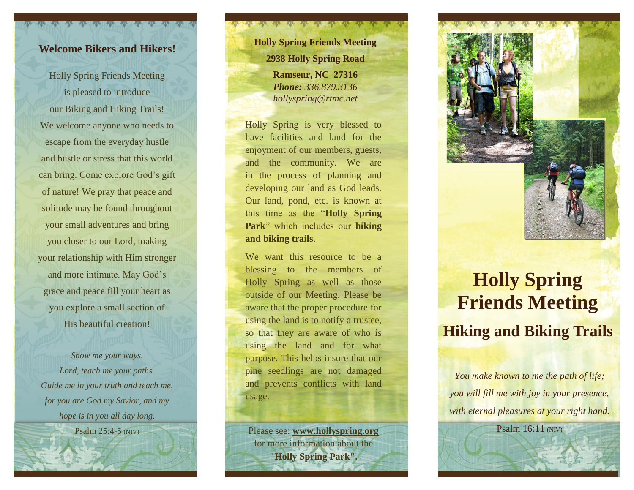## **Welcome Bikers and Hikers!**

Holly Spring Friends Meeting is pleased to introduce our Biking and Hiking Trails! We welcome anyone who needs to escape from the everyday hustle and bustle or stress that this world can bring. Come explore God's gift of nature! We pray that peace and solitude may be found throughout your small adventures and bring you closer to our Lord, making your relationship with Him stronger and more intimate. May God's grace and peace fill your heart as you explore a small section of His beautiful creation!

*Show me your ways, Lord, teach me your paths. Guide me in your truth and teach me, for you are God my Savior, and my hope is in you all day long.*

Psalm 25:4-5 (NIV)

*Phone: 336.879.3136 hollyspring@rtmc.net* **Holly Spring Friends Meeting 2938 Holly Spring Road Ramseur, NC 27316**

Holly Spring is very blessed to have facilities and land for the enjoyment of our members, guests, and the community. We are in the process of planning and developing our land as God leads. Our land, pond, etc . is known at this time as the "**Holly Spring Park**" which includes our **hiking and biking trails**.

We want this resource to be a blessing to the members of Holly Spring as well as those outside of our Meeting. Please be aware that the proper procedure for using the land is to notify a trustee, so that they are aware of who is using the land and for what purpose. This helps insure that our pine seedlings are not damaged and prevents conflicts with land usage.

Please see: **[www.hollyspring.org](http://www.hollyspring.org/)** for more information about the **"Holly Spring Park".**

## **Holly Spring Friends Meeting Hiking and Biking Trails**

*You make known to me the path of life; you will fill me with joy in your presence, with eternal pleasures at your right hand.*

Psalm 16:11 (NIV)